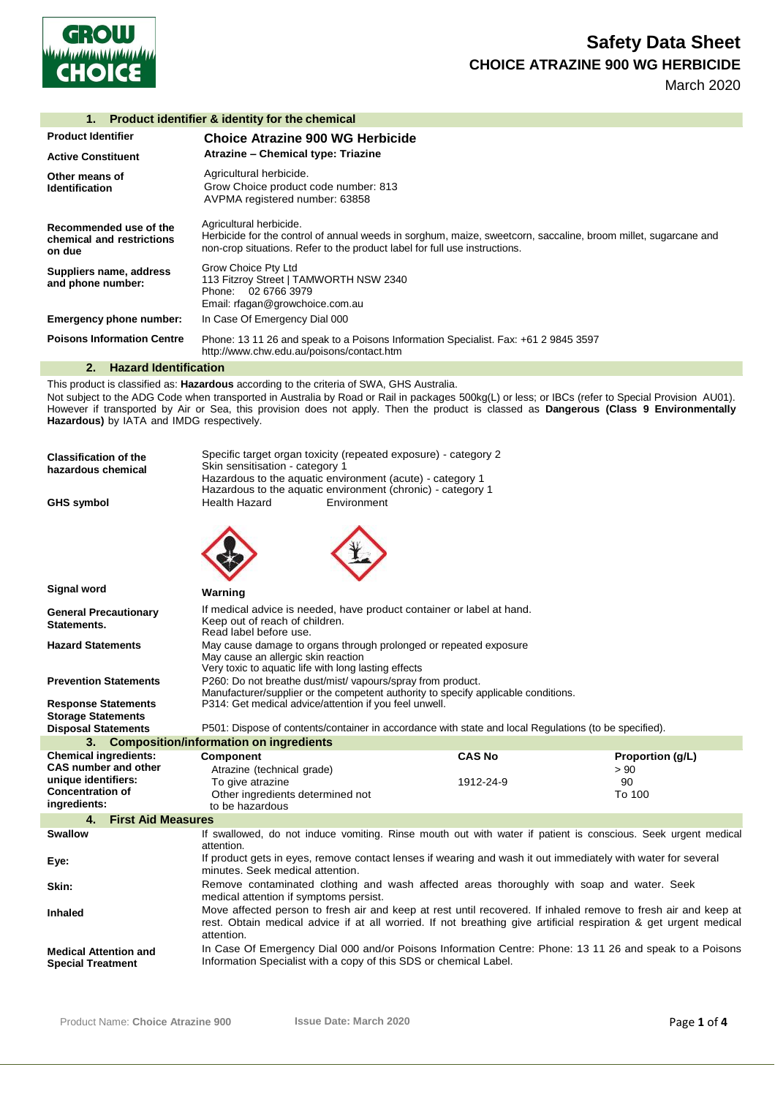

March 2020

## **1. Product identifier & identity for the chemical**

| <b>Product Identifier</b>                                     | Choice Atrazine 900 WG Herbicide                                                                                                                                                                                        |  |
|---------------------------------------------------------------|-------------------------------------------------------------------------------------------------------------------------------------------------------------------------------------------------------------------------|--|
| <b>Active Constituent</b>                                     | Atrazine - Chemical type: Triazine                                                                                                                                                                                      |  |
| Other means of<br><b>Identification</b>                       | Agricultural herbicide.<br>Grow Choice product code number: 813<br>AVPMA registered number: 63858                                                                                                                       |  |
| Recommended use of the<br>chemical and restrictions<br>on due | Agricultural herbicide.<br>Herbicide for the control of annual weeds in sorghum, maize, sweetcorn, saccaline, broom millet, sugarcane and<br>non-crop situations. Refer to the product label for full use instructions. |  |
| Suppliers name, address<br>and phone number:                  | Grow Choice Pty Ltd<br>113 Fitzroy Street   TAMWORTH NSW 2340<br>Phone: 02 6766 3979<br>Email: rfagan@growchoice.com.au                                                                                                 |  |
| <b>Emergency phone number:</b>                                | In Case Of Emergency Dial 000                                                                                                                                                                                           |  |
| <b>Poisons Information Centre</b>                             | Phone: 13 11 26 and speak to a Poisons Information Specialist. Fax: +61 2 9845 3597<br>http://www.chw.edu.au/poisons/contact.htm                                                                                        |  |

## **2. Hazard Identification**

This product is classified as: **Hazardous** according to the criteria of SWA, GHS Australia. Not subject to the ADG Code when transported in Australia by Road or Rail in packages 500kg(L) or less; or IBCs (refer to Special Provision AU01). However if transported by Air or Sea, this provision does not apply. Then the product is classed as **Dangerous (Class 9 Environmentally Hazardous)** by IATA and IMDG respectively.

| <b>Classification of the</b><br>hazardous chemical<br><b>GHS symbol</b> | Skin sensitisation - category 1<br><b>Health Hazard</b>                                                                                                                                                                                          | Specific target organ toxicity (repeated exposure) - category 2<br>Hazardous to the aquatic environment (acute) - category 1<br>Hazardous to the aquatic environment (chronic) - category 1<br>Environment |                                                                                                               |                  |
|-------------------------------------------------------------------------|--------------------------------------------------------------------------------------------------------------------------------------------------------------------------------------------------------------------------------------------------|------------------------------------------------------------------------------------------------------------------------------------------------------------------------------------------------------------|---------------------------------------------------------------------------------------------------------------|------------------|
|                                                                         |                                                                                                                                                                                                                                                  |                                                                                                                                                                                                            |                                                                                                               |                  |
| Signal word                                                             | Warning                                                                                                                                                                                                                                          |                                                                                                                                                                                                            |                                                                                                               |                  |
| <b>General Precautionary</b><br>Statements.                             | Keep out of reach of children.<br>Read label before use.                                                                                                                                                                                         | If medical advice is needed, have product container or label at hand.                                                                                                                                      |                                                                                                               |                  |
| <b>Hazard Statements</b>                                                | May cause an allergic skin reaction<br>Very toxic to aquatic life with long lasting effects                                                                                                                                                      | May cause damage to organs through prolonged or repeated exposure                                                                                                                                          |                                                                                                               |                  |
| <b>Prevention Statements</b>                                            |                                                                                                                                                                                                                                                  | P260: Do not breathe dust/mist/ vapours/spray from product.                                                                                                                                                |                                                                                                               |                  |
| <b>Response Statements</b><br><b>Storage Statements</b>                 | P314: Get medical advice/attention if you feel unwell.                                                                                                                                                                                           | Manufacturer/supplier or the competent authority to specify applicable conditions.                                                                                                                         |                                                                                                               |                  |
| <b>Disposal Statements</b>                                              | 3. Composition/information on ingredients                                                                                                                                                                                                        |                                                                                                                                                                                                            | P501: Dispose of contents/container in accordance with state and local Regulations (to be specified).         |                  |
| <b>Chemical ingredients:</b>                                            | <b>Component</b>                                                                                                                                                                                                                                 |                                                                                                                                                                                                            | <b>CAS No</b>                                                                                                 | Proportion (g/L) |
| <b>CAS number and other</b>                                             | Atrazine (technical grade)                                                                                                                                                                                                                       |                                                                                                                                                                                                            |                                                                                                               | > 90             |
| unique identifiers:                                                     | To give atrazine                                                                                                                                                                                                                                 |                                                                                                                                                                                                            | 1912-24-9                                                                                                     | 90               |
| <b>Concentration of</b>                                                 | Other ingredients determined not                                                                                                                                                                                                                 |                                                                                                                                                                                                            |                                                                                                               | To 100           |
| ingredients:                                                            | to be hazardous                                                                                                                                                                                                                                  |                                                                                                                                                                                                            |                                                                                                               |                  |
| <b>First Aid Measures</b><br>4.                                         |                                                                                                                                                                                                                                                  |                                                                                                                                                                                                            |                                                                                                               |                  |
| <b>Swallow</b>                                                          | attention.                                                                                                                                                                                                                                       |                                                                                                                                                                                                            | If swallowed, do not induce vomiting. Rinse mouth out with water if patient is conscious. Seek urgent medical |                  |
| Eye:                                                                    | If product gets in eyes, remove contact lenses if wearing and wash it out immediately with water for several<br>minutes. Seek medical attention.                                                                                                 |                                                                                                                                                                                                            |                                                                                                               |                  |
| Skin:                                                                   | Remove contaminated clothing and wash affected areas thoroughly with soap and water. Seek<br>medical attention if symptoms persist.                                                                                                              |                                                                                                                                                                                                            |                                                                                                               |                  |
| <b>Inhaled</b>                                                          | Move affected person to fresh air and keep at rest until recovered. If inhaled remove to fresh air and keep at<br>rest. Obtain medical advice if at all worried. If not breathing give artificial respiration & get urgent medical<br>attention. |                                                                                                                                                                                                            |                                                                                                               |                  |
| <b>Medical Attention and</b><br><b>Special Treatment</b>                | In Case Of Emergency Dial 000 and/or Poisons Information Centre: Phone: 13 11 26 and speak to a Poisons<br>Information Specialist with a copy of this SDS or chemical Label.                                                                     |                                                                                                                                                                                                            |                                                                                                               |                  |
|                                                                         |                                                                                                                                                                                                                                                  |                                                                                                                                                                                                            |                                                                                                               |                  |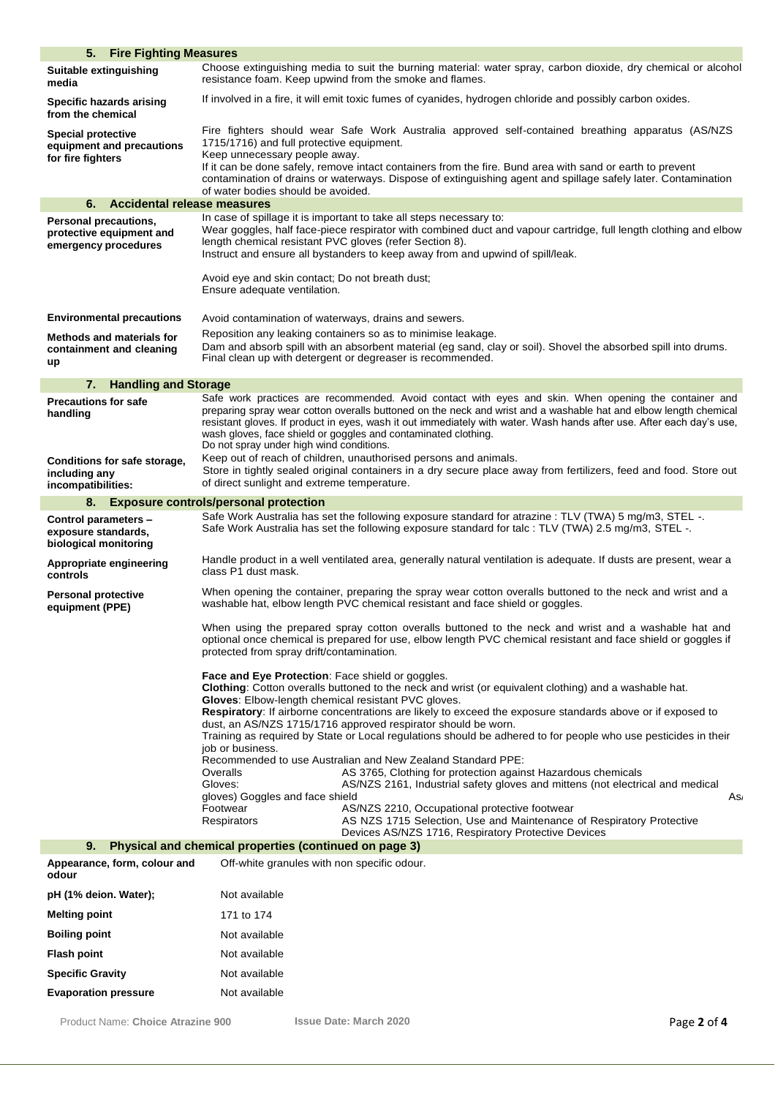| 5. Fire Fighting Measures                                                                              |                                                                                                                                                                                                                                                                                                                                                                                                                                                                                                                                      |
|--------------------------------------------------------------------------------------------------------|--------------------------------------------------------------------------------------------------------------------------------------------------------------------------------------------------------------------------------------------------------------------------------------------------------------------------------------------------------------------------------------------------------------------------------------------------------------------------------------------------------------------------------------|
| Suitable extinguishing<br>media                                                                        | Choose extinguishing media to suit the burning material: water spray, carbon dioxide, dry chemical or alcohol<br>resistance foam. Keep upwind from the smoke and flames.                                                                                                                                                                                                                                                                                                                                                             |
| <b>Specific hazards arising</b><br>from the chemical                                                   | If involved in a fire, it will emit toxic fumes of cyanides, hydrogen chloride and possibly carbon oxides.                                                                                                                                                                                                                                                                                                                                                                                                                           |
| <b>Special protective</b><br>equipment and precautions<br>for fire fighters                            | Fire fighters should wear Safe Work Australia approved self-contained breathing apparatus (AS/NZS<br>1715/1716) and full protective equipment.<br>Keep unnecessary people away.<br>If it can be done safely, remove intact containers from the fire. Bund area with sand or earth to prevent<br>contamination of drains or waterways. Dispose of extinguishing agent and spillage safely later. Contamination<br>of water bodies should be avoided.                                                                                  |
| Accidental release measures<br>6.                                                                      |                                                                                                                                                                                                                                                                                                                                                                                                                                                                                                                                      |
| Personal precautions,<br>protective equipment and<br>emergency procedures                              | In case of spillage it is important to take all steps necessary to:<br>Wear goggles, half face-piece respirator with combined duct and vapour cartridge, full length clothing and elbow<br>length chemical resistant PVC gloves (refer Section 8).<br>Instruct and ensure all bystanders to keep away from and upwind of spill/leak.<br>Avoid eye and skin contact; Do not breath dust;                                                                                                                                              |
|                                                                                                        | Ensure adequate ventilation.                                                                                                                                                                                                                                                                                                                                                                                                                                                                                                         |
| <b>Environmental precautions</b><br><b>Methods and materials for</b><br>containment and cleaning<br>up | Avoid contamination of waterways, drains and sewers.<br>Reposition any leaking containers so as to minimise leakage.<br>Dam and absorb spill with an absorbent material (eg sand, clay or soil). Shovel the absorbed spill into drums.<br>Final clean up with detergent or degreaser is recommended.                                                                                                                                                                                                                                 |
| 7. Handling and Storage                                                                                |                                                                                                                                                                                                                                                                                                                                                                                                                                                                                                                                      |
| <b>Precautions for safe</b><br>handling<br>Conditions for safe storage,                                | Safe work practices are recommended. Avoid contact with eyes and skin. When opening the container and<br>preparing spray wear cotton overalls buttoned on the neck and wrist and a washable hat and elbow length chemical<br>resistant gloves. If product in eyes, wash it out immediately with water. Wash hands after use. After each day's use,<br>wash gloves, face shield or goggles and contaminated clothing.<br>Do not spray under high wind conditions.<br>Keep out of reach of children, unauthorised persons and animals. |
| including any<br>incompatibilities:                                                                    | Store in tightly sealed original containers in a dry secure place away from fertilizers, feed and food. Store out<br>of direct sunlight and extreme temperature.                                                                                                                                                                                                                                                                                                                                                                     |
|                                                                                                        | 8. Exposure controls/personal protection                                                                                                                                                                                                                                                                                                                                                                                                                                                                                             |
| Control parameters -<br>exposure standards,<br>biological monitoring                                   | Safe Work Australia has set the following exposure standard for atrazine : TLV (TWA) 5 mg/m3, STEL -.<br>Safe Work Australia has set the following exposure standard for talc : TLV (TWA) 2.5 mg/m3, STEL -.                                                                                                                                                                                                                                                                                                                         |
| Appropriate engineering<br>controls                                                                    | Handle product in a well ventilated area, generally natural ventilation is adequate. If dusts are present, wear a<br>class P1 dust mask.                                                                                                                                                                                                                                                                                                                                                                                             |
| <b>Personal protective</b><br>equipment (PPE)                                                          | When opening the container, preparing the spray wear cotton overalls buttoned to the neck and wrist and a<br>washable hat, elbow length PVC chemical resistant and face shield or goggles.                                                                                                                                                                                                                                                                                                                                           |
|                                                                                                        | When using the prepared spray cotton overalls buttoned to the neck and wrist and a washable hat and<br>optional once chemical is prepared for use, elbow length PVC chemical resistant and face shield or goggles if<br>protected from spray drift/contamination.                                                                                                                                                                                                                                                                    |
|                                                                                                        | <b>Face and Eye Protection:</b> Face shield or goggles.<br>Clothing: Cotton overalls buttoned to the neck and wrist (or equivalent clothing) and a washable hat.<br>Gloves: Elbow-length chemical resistant PVC gloves.<br>Respiratory: If airborne concentrations are likely to exceed the exposure standards above or if exposed to<br>dust, an AS/NZS 1715/1716 approved respirator should be worn.                                                                                                                               |
|                                                                                                        | Training as required by State or Local regulations should be adhered to for people who use pesticides in their<br>iob or business.<br>Recommended to use Australian and New Zealand Standard PPE:                                                                                                                                                                                                                                                                                                                                    |
|                                                                                                        | AS 3765, Clothing for protection against Hazardous chemicals<br>Overalls<br>AS/NZS 2161, Industrial safety gloves and mittens (not electrical and medical<br>Gloves:<br>gloves) Goggles and face shield<br>As,<br>AS/NZS 2210, Occupational protective footwear<br>Footwear<br>AS NZS 1715 Selection, Use and Maintenance of Respiratory Protective<br>Respirators                                                                                                                                                                   |
|                                                                                                        | Devices AS/NZS 1716, Respiratory Protective Devices<br>9. Physical and chemical properties (continued on page 3)                                                                                                                                                                                                                                                                                                                                                                                                                     |
| Appearance, form, colour and<br>odour                                                                  | Off-white granules with non specific odour.                                                                                                                                                                                                                                                                                                                                                                                                                                                                                          |
| pH (1% deion. Water);                                                                                  | Not available                                                                                                                                                                                                                                                                                                                                                                                                                                                                                                                        |
| <b>Melting point</b>                                                                                   | 171 to 174                                                                                                                                                                                                                                                                                                                                                                                                                                                                                                                           |
| <b>Boiling point</b>                                                                                   | Not available                                                                                                                                                                                                                                                                                                                                                                                                                                                                                                                        |
| <b>Flash point</b>                                                                                     | Not available                                                                                                                                                                                                                                                                                                                                                                                                                                                                                                                        |
| <b>Specific Gravity</b>                                                                                | Not available                                                                                                                                                                                                                                                                                                                                                                                                                                                                                                                        |
| <b>Evaporation pressure</b>                                                                            | Not available                                                                                                                                                                                                                                                                                                                                                                                                                                                                                                                        |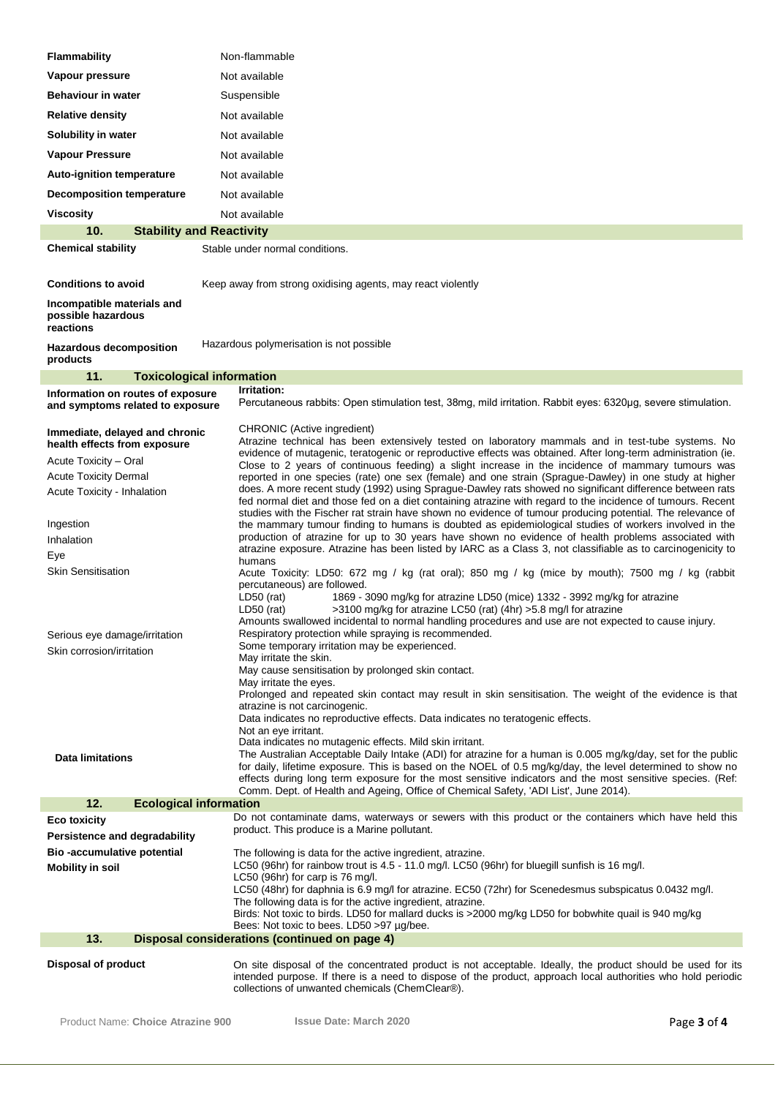| <b>Flammability</b>                                                   | Non-flammable                                                                                                                                                                                                             |  |  |
|-----------------------------------------------------------------------|---------------------------------------------------------------------------------------------------------------------------------------------------------------------------------------------------------------------------|--|--|
| Vapour pressure                                                       | Not available                                                                                                                                                                                                             |  |  |
| <b>Behaviour in water</b>                                             | Suspensible                                                                                                                                                                                                               |  |  |
| <b>Relative density</b>                                               | Not available                                                                                                                                                                                                             |  |  |
| Solubility in water                                                   | Not available                                                                                                                                                                                                             |  |  |
| <b>Vapour Pressure</b>                                                | Not available                                                                                                                                                                                                             |  |  |
| <b>Auto-ignition temperature</b>                                      | Not available                                                                                                                                                                                                             |  |  |
| <b>Decomposition temperature</b>                                      | Not available                                                                                                                                                                                                             |  |  |
| <b>Viscosity</b>                                                      | Not available                                                                                                                                                                                                             |  |  |
| 10.<br><b>Stability and Reactivity</b>                                |                                                                                                                                                                                                                           |  |  |
| <b>Chemical stability</b>                                             | Stable under normal conditions.                                                                                                                                                                                           |  |  |
| <b>Conditions to avoid</b>                                            | Keep away from strong oxidising agents, may react violently                                                                                                                                                               |  |  |
| Incompatible materials and<br>possible hazardous<br>reactions         |                                                                                                                                                                                                                           |  |  |
| <b>Hazardous decomposition</b><br>products                            | Hazardous polymerisation is not possible                                                                                                                                                                                  |  |  |
| 11.<br><b>Toxicological information</b>                               |                                                                                                                                                                                                                           |  |  |
| Information on routes of exposure<br>and symptoms related to exposure | Irritation:<br>Percutaneous rabbits: Open stimulation test, 38mg, mild irritation. Rabbit eyes: 6320µg, severe stimulation.                                                                                               |  |  |
| Immediate, delayed and chronic<br>health effects from exposure        | CHRONIC (Active ingredient)<br>Atrazine technical has been extensively tested on laboratory mammals and in test-tube systems. No                                                                                          |  |  |
| Acute Toxicity - Oral                                                 | evidence of mutagenic, teratogenic or reproductive effects was obtained. After long-term administration (ie.<br>Close to 2 years of continuous feeding) a slight increase in the incidence of mammary tumours was         |  |  |
| <b>Acute Toxicity Dermal</b>                                          | reported in one species (rate) one sex (female) and one strain (Sprague-Dawley) in one study at higher<br>does. A more recent study (1992) using Sprague-Dawley rats showed no significant difference between rats        |  |  |
| Acute Toxicity - Inhalation                                           | fed normal diet and those fed on a diet containing atrazine with regard to the incidence of tumours. Recent<br>studies with the Fischer rat strain have shown no evidence of tumour producing potential. The relevance of |  |  |
| Ingestion                                                             | the mammary tumour finding to humans is doubted as epidemiological studies of workers involved in the<br>production of atrazine for up to 30 years have shown no evidence of health problems associated with              |  |  |
| Inhalation<br>Eye                                                     | atrazine exposure. Atrazine has been listed by IARC as a Class 3, not classifiable as to carcinogenicity to                                                                                                               |  |  |
| <b>Skin Sensitisation</b>                                             | humans<br>Acute Toxicity: LD50: 672 mg / kg (rat oral); 850 mg / kg (mice by mouth); 7500 mg / kg (rabbit                                                                                                                 |  |  |
|                                                                       | percutaneous) are followed.                                                                                                                                                                                               |  |  |
|                                                                       | $LD50$ (rat)<br>1869 - 3090 mg/kg for atrazine LD50 (mice) 1332 - 3992 mg/kg for atrazine<br>>3100 mg/kg for atrazine LC50 (rat) (4hr) >5.8 mg/l for atrazine<br>$LD50$ (rat)                                             |  |  |
|                                                                       | Amounts swallowed incidental to normal handling procedures and use are not expected to cause injury.                                                                                                                      |  |  |
| Serious eye damage/irritation<br>Skin corrosion/irritation            | Respiratory protection while spraying is recommended.<br>Some temporary irritation may be experienced.                                                                                                                    |  |  |
|                                                                       | May irritate the skin.<br>May cause sensitisation by prolonged skin contact.                                                                                                                                              |  |  |
|                                                                       | May irritate the eyes.                                                                                                                                                                                                    |  |  |
|                                                                       | Prolonged and repeated skin contact may result in skin sensitisation. The weight of the evidence is that<br>atrazine is not carcinogenic.                                                                                 |  |  |
|                                                                       | Data indicates no reproductive effects. Data indicates no teratogenic effects.                                                                                                                                            |  |  |
|                                                                       | Not an eye irritant.<br>Data indicates no mutagenic effects. Mild skin irritant.                                                                                                                                          |  |  |
| <b>Data limitations</b>                                               | The Australian Acceptable Daily Intake (ADI) for atrazine for a human is 0.005 mg/kg/day, set for the public                                                                                                              |  |  |
|                                                                       | for daily, lifetime exposure. This is based on the NOEL of 0.5 mg/kg/day, the level determined to show no<br>effects during long term exposure for the most sensitive indicators and the most sensitive species. (Ref:    |  |  |
|                                                                       | Comm. Dept. of Health and Ageing, Office of Chemical Safety, 'ADI List', June 2014).                                                                                                                                      |  |  |
| 12.<br><b>Ecological information</b>                                  | Do not contaminate dams, waterways or sewers with this product or the containers which have held this                                                                                                                     |  |  |
| <b>Eco toxicity</b><br>Persistence and degradability                  | product. This produce is a Marine pollutant.                                                                                                                                                                              |  |  |
| Bio-accumulative potential                                            | The following is data for the active ingredient, atrazine.                                                                                                                                                                |  |  |
| <b>Mobility in soil</b>                                               | LC50 (96hr) for rainbow trout is 4.5 - 11.0 mg/l. LC50 (96hr) for bluegill sunfish is 16 mg/l.                                                                                                                            |  |  |
|                                                                       | $LC50$ (96hr) for carp is 76 mg/l.<br>LC50 (48hr) for daphnia is 6.9 mg/l for atrazine. EC50 (72hr) for Scenedesmus subspicatus 0.0432 mg/l.                                                                              |  |  |
|                                                                       | The following data is for the active ingredient, atrazine.                                                                                                                                                                |  |  |
|                                                                       | Birds: Not toxic to birds. LD50 for mallard ducks is >2000 mg/kg LD50 for bobwhite quail is 940 mg/kg<br>Bees: Not toxic to bees. LD50 >97 µg/bee.                                                                        |  |  |
| 13.                                                                   | Disposal considerations (continued on page 4)                                                                                                                                                                             |  |  |
| <b>Disposal of product</b>                                            | On site disposal of the concentrated product is not acceptable. Ideally, the product should be used for its                                                                                                               |  |  |
|                                                                       | intended purpose. If there is a need to dispose of the product, approach local authorities who hold periodic                                                                                                              |  |  |
|                                                                       | collections of unwanted chemicals (ChemClear®).                                                                                                                                                                           |  |  |